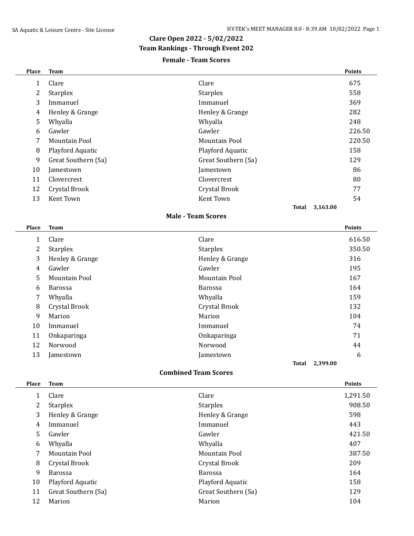### **Clare Open 2022 - 5/02/2022**

### **Team Rankings - Through Event 202**

### **Female - Team Scores**

| Place                     | <b>Team</b>         |                          | <b>Points</b> |  |  |
|---------------------------|---------------------|--------------------------|---------------|--|--|
| 1                         | Clare               | Clare                    | 675           |  |  |
| 2                         | <b>Starplex</b>     | Starplex                 | 558           |  |  |
| 3                         | Immanuel            | Immanuel                 | 369           |  |  |
| 4                         | Henley & Grange     | Henley & Grange          | 282           |  |  |
| 5                         | Whyalla             | Whyalla                  | 248           |  |  |
| 6                         | Gawler              | Gawler                   | 226.50        |  |  |
| 7                         | Mountain Pool       | Mountain Pool            | 220.50        |  |  |
| 8                         | Playford Aquatic    | Playford Aquatic         | 158           |  |  |
| 9                         | Great Southern (Sa) | Great Southern (Sa)      | 129           |  |  |
| 10                        | Jamestown           | Jamestown                | 86            |  |  |
| 11                        | Clovercrest         | Clovercrest              | 80            |  |  |
| 12                        | Crystal Brook       | Crystal Brook            | 77            |  |  |
| 13                        | Kent Town           | Kent Town                | 54            |  |  |
|                           |                     | 3,163.00<br><b>Total</b> |               |  |  |
| <b>Male - Team Scores</b> |                     |                          |               |  |  |
| Place                     | <b>Team</b>         |                          | <b>Points</b> |  |  |
| 1                         | Clare               | Clare                    | 616.50        |  |  |
| 2                         | <b>Starplex</b>     | <b>Starplex</b>          | 350.50        |  |  |
| 3                         | Henley & Grange     | Henley & Grange          | 316           |  |  |
| 4                         | Gawler              | Gawler                   | 195           |  |  |

5 Mountain Pool 167 Barossa Barossa 164 Whyalla Whyalla 159 8 Crystal Brook 132 Marion Marion 104 Immanuel Immanuel 74 Onkaparinga Onkaparinga 71 Norwood Norwood 44 13 Jamestown 5 Jamestown 5 Jamestown 5 Jamestown 6 Jamestown 6 Jamestown 6 Jamestown 6 Jamestown 6 Jamestown 6 Jamestown 6 Jamestown 6 Jamestown 6 Jamestown 6 Jamestown 6 Jamestown 6 Jamestown 6 Jamestown 6 Jamestown 6 Jam

**Total 2,399.00**

#### **Place Team Points**

|    | Clare               | Clare               | 1,291.50 |
|----|---------------------|---------------------|----------|
| 2  | <b>Starplex</b>     | <b>Starplex</b>     | 908.50   |
| 3  | Henley & Grange     | Henley & Grange     | 598      |
| 4  | Immanuel            | Immanuel            | 443      |
| 5  | Gawler              | Gawler              | 421.50   |
| 6  | Whyalla             | Whyalla             | 407      |
| 7  | Mountain Pool       | Mountain Pool       | 387.50   |
| 8  | Crystal Brook       | Crystal Brook       | 209      |
| 9  | <b>Barossa</b>      | <b>Barossa</b>      | 164      |
| 10 | Playford Aquatic    | Playford Aquatic    | 158      |
| 11 | Great Southern (Sa) | Great Southern (Sa) | 129      |
| 12 | Marion              | Marion              | 104      |

**Combined Team Scores**